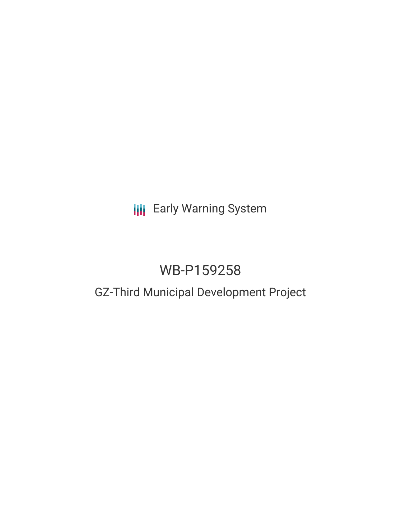# **III** Early Warning System

# WB-P159258

# GZ-Third Municipal Development Project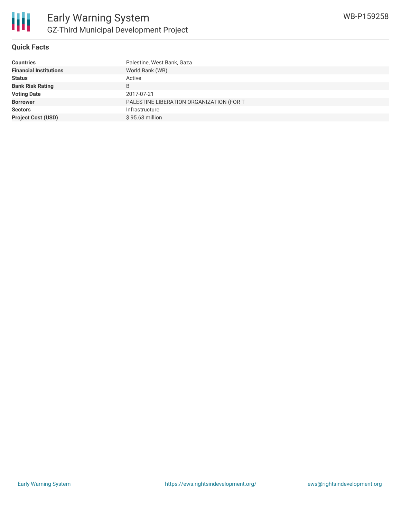

### **Quick Facts**

| Palestine, West Bank, Gaza               |
|------------------------------------------|
| World Bank (WB)                          |
| Active                                   |
| B                                        |
| 2017-07-21                               |
| PALESTINE LIBERATION ORGANIZATION (FOR T |
| Infrastructure                           |
| \$95.63 million                          |
|                                          |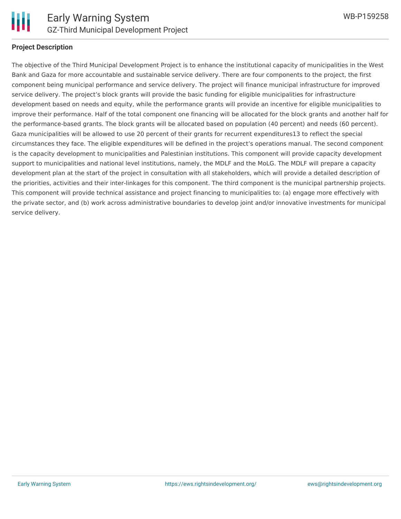

### **Project Description**

The objective of the Third Municipal Development Project is to enhance the institutional capacity of municipalities in the West Bank and Gaza for more accountable and sustainable service delivery. There are four components to the project, the first component being municipal performance and service delivery. The project will finance municipal infrastructure for improved service delivery. The project's block grants will provide the basic funding for eligible municipalities for infrastructure development based on needs and equity, while the performance grants will provide an incentive for eligible municipalities to improve their performance. Half of the total component one financing will be allocated for the block grants and another half for the performance-based grants. The block grants will be allocated based on population (40 percent) and needs (60 percent). Gaza municipalities will be allowed to use 20 percent of their grants for recurrent expenditures13 to reflect the special circumstances they face. The eligible expenditures will be defined in the project's operations manual. The second component is the capacity development to municipalities and Palestinian institutions. This component will provide capacity development support to municipalities and national level institutions, namely, the MDLF and the MoLG. The MDLF will prepare a capacity development plan at the start of the project in consultation with all stakeholders, which will provide a detailed description of the priorities, activities and their inter-linkages for this component. The third component is the municipal partnership projects. This component will provide technical assistance and project financing to municipalities to: (a) engage more effectively with the private sector, and (b) work across administrative boundaries to develop joint and/or innovative investments for municipal service delivery.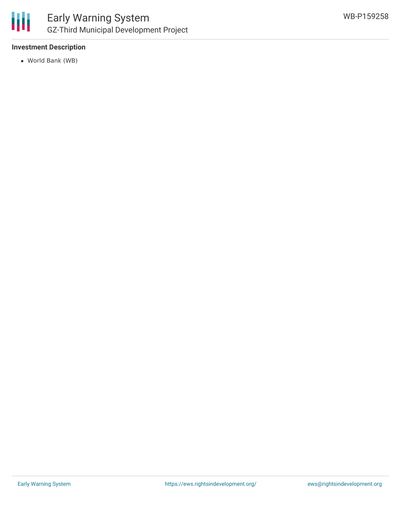

## **Investment Description**

World Bank (WB)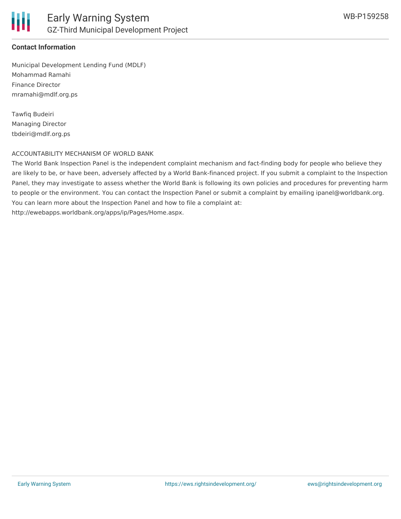

### **Contact Information**

Municipal Development Lending Fund (MDLF) Mohammad Ramahi Finance Director mramahi@mdlf.org.ps

Tawfiq Budeiri Managing Director tbdeiri@mdlf.org.ps

#### ACCOUNTABILITY MECHANISM OF WORLD BANK

The World Bank Inspection Panel is the independent complaint mechanism and fact-finding body for people who believe they are likely to be, or have been, adversely affected by a World Bank-financed project. If you submit a complaint to the Inspection Panel, they may investigate to assess whether the World Bank is following its own policies and procedures for preventing harm to people or the environment. You can contact the Inspection Panel or submit a complaint by emailing ipanel@worldbank.org. You can learn more about the Inspection Panel and how to file a complaint at: http://ewebapps.worldbank.org/apps/ip/Pages/Home.aspx.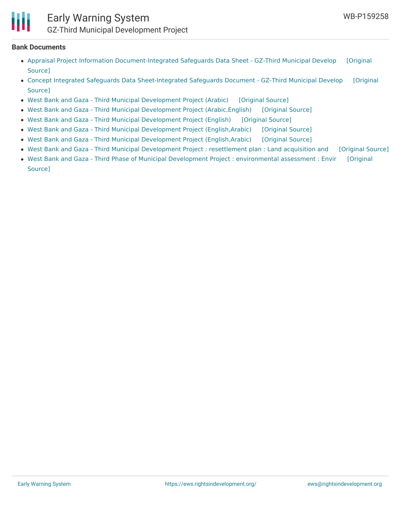## Early Warning System GZ-Third Municipal Development Project

#### **Bank Documents**

- Appraisal Project Information [Document-Integrated](https://ewsdata.rightsindevelopment.org/files/documents/58/WB-P159258_hOVu7Ix.pdf) Safeguards Data Sheet GZ-Third Municipal Develop [Original Source]
- Concept Integrated Safeguards Data [Sheet-Integrated](https://ewsdata.rightsindevelopment.org/files/documents/58/WB-P159258_O4Pr9l7.pdf) Safeguards Document GZ-Third Municipal Develop [Original Source]
- West Bank and Gaza Third Municipal [Development](https://ewsdata.rightsindevelopment.org/files/documents/58/WB-P159258_R6GgSlN.pdf) Project (Arabic) [\[Original](http://documents.worldbank.org/curated/en/560621476717144920/pdf/PIDC83835-ARABIC-PUBLIC.pdf) Source]
- West Bank and Gaza Third Municipal Development Project [\(Arabic,English\)](https://ewsdata.rightsindevelopment.org/files/documents/58/WB-P159258_0V3pjnt.pdf) [\[Original](http://documents.worldbank.org/curated/en/717711474614360464/pdf/PID-MDP3-Concept-Stage-Sept-22-2016.pdf) Source]
- West Bank and Gaza Third Municipal [Development](https://ewsdata.rightsindevelopment.org/files/documents/58/WB-P159258.pdf) Project (English) [\[Original](http://documents.worldbank.org/curated/en/989731500861633233/pdf/WBG-MDP3-PAD-final-edits-elh-clean-06302017.pdf) Source]
- West Bank and Gaza Third Municipal Development Project [\(English,Arabic\)](https://ewsdata.rightsindevelopment.org/files/documents/58/WB-P159258_ZNH32hV.pdf) [\[Original](http://documents.worldbank.org/curated/en/316251493832677023/pdf/PIDISDSA20451-PSDS-ARABIC-P159258-Appraisal-PUBLIC.pdf) Source]
- West Bank and Gaza Third Municipal Development Project [\(English,Arabic\)](https://ewsdata.rightsindevelopment.org/files/documents/58/WB-P159258_PDkPZCZ.pdf) [\[Original](http://documents.worldbank.org/curated/en/785791485790771386/pdf/PIDISDSC20424-ARABIC-P159258-Concept-Stage-PUBLIC.pdf) Source]
- West Bank and Gaza Third Municipal [Development](https://ewsdata.rightsindevelopment.org/files/documents/58/WB-P159258_jZlNvIN.pdf) Project : resettlement plan : Land acquisition and [\[Original](http://documents.worldbank.org/curated/en/494361493042358718/pdf/SFG3282-RP-P159258-Box402903B-PUBLIC-Disclosed-4-20-2017.pdf) Source]
- West Bank and Gaza Third Phase of Municipal Development Project : [environmental](https://ewsdata.rightsindevelopment.org/files/documents/58/WB-P159258_Hb8srhk.pdf) assessment : Envir [Original Source]